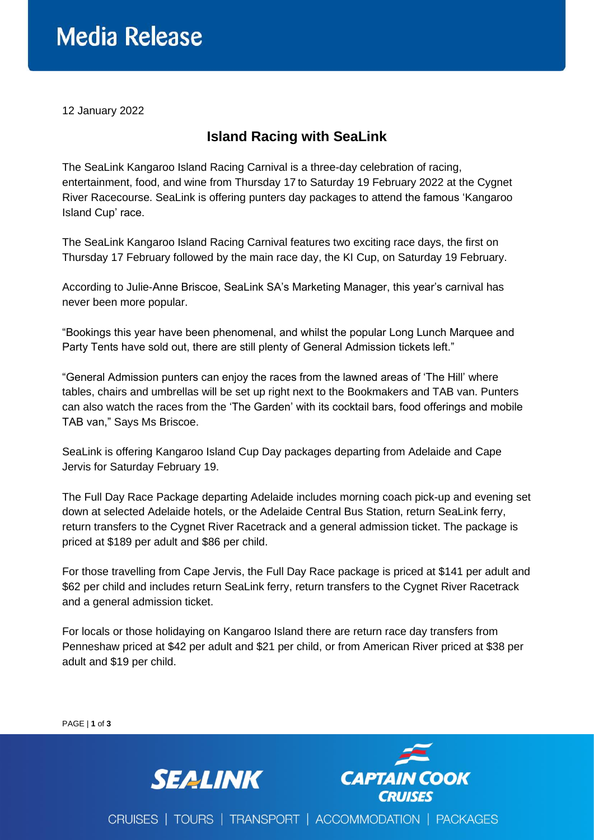## **Media Release**

12 January 2022

## **Island Racing with SeaLink**

The SeaLink Kangaroo Island Racing Carnival is a three-day celebration of racing, entertainment, food, and wine from Thursday 17 to Saturday 19 February 2022 at the Cygnet River Racecourse. SeaLink is offering punters day packages to attend the famous 'Kangaroo Island Cup' race.

The SeaLink Kangaroo Island Racing Carnival features two exciting race days, the first on Thursday 17 February followed by the main race day, the KI Cup, on Saturday 19 February.

According to Julie-Anne Briscoe, SeaLink SA's Marketing Manager, this year's carnival has never been more popular.

"Bookings this year have been phenomenal, and whilst the popular Long Lunch Marquee and Party Tents have sold out, there are still plenty of General Admission tickets left."

"General Admission punters can enjoy the races from the lawned areas of 'The Hill' where tables, chairs and umbrellas will be set up right next to the Bookmakers and TAB van. Punters can also watch the races from the 'The Garden' with its cocktail bars, food offerings and mobile TAB van," Says Ms Briscoe.

SeaLink is offering Kangaroo Island Cup Day packages departing from Adelaide and Cape Jervis for Saturday February 19.

The Full Day Race Package departing Adelaide includes morning coach pick-up and evening set down at selected Adelaide hotels, or the Adelaide Central Bus Station, return SeaLink ferry, return transfers to the Cygnet River Racetrack and a general admission ticket. The package is priced at \$189 per adult and \$86 per child.

For those travelling from Cape Jervis, the Full Day Race package is priced at \$141 per adult and \$62 per child and includes return SeaLink ferry, return transfers to the Cygnet River Racetrack and a general admission ticket.

For locals or those holidaying on Kangaroo Island there are return race day transfers from Penneshaw priced at \$42 per adult and \$21 per child, or from American River priced at \$38 per adult and \$19 per child.

PAGE | **1** of **3 CAPTAIN COOK SEALINK** CRUISES | TOURS | TRANSPORT | ACCOMMODATION | PACKAGES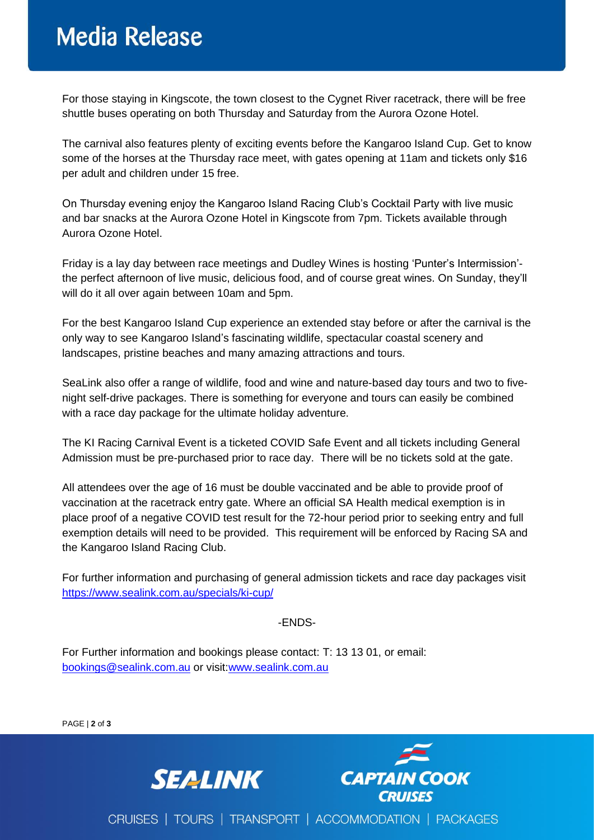## **Media Release**

For those staying in Kingscote, the town closest to the Cygnet River racetrack, there will be free shuttle buses operating on both Thursday and Saturday from the Aurora Ozone Hotel.

The carnival also features plenty of exciting events before the Kangaroo Island Cup. Get to know some of the horses at the Thursday race meet, with gates opening at 11am and tickets only \$16 per adult and children under 15 free.

On Thursday evening enjoy the Kangaroo Island Racing Club's Cocktail Party with live music and bar snacks at the Aurora Ozone Hotel in Kingscote from 7pm. Tickets available through Aurora Ozone Hotel.

Friday is a lay day between race meetings and Dudley Wines is hosting 'Punter's Intermission' the perfect afternoon of live music, delicious food, and of course great wines. On Sunday, they'll will do it all over again between 10am and 5pm.

For the best Kangaroo Island Cup experience an extended stay before or after the carnival is the only way to see Kangaroo Island's fascinating wildlife, spectacular coastal scenery and landscapes, pristine beaches and many amazing attractions and tours.

SeaLink also offer a range of wildlife, food and wine and nature-based day tours and two to fivenight self-drive packages. There is something for everyone and tours can easily be combined with a race day package for the ultimate holiday adventure.

The KI Racing Carnival Event is a ticketed COVID Safe Event and all tickets including General Admission must be pre-purchased prior to race day. There will be no tickets sold at the gate.

All attendees over the age of 16 must be double vaccinated and be able to provide proof of vaccination at the racetrack entry gate. Where an official SA Health medical exemption is in place proof of a negative COVID test result for the 72-hour period prior to seeking entry and full exemption details will need to be provided. This requirement will be enforced by Racing SA and the Kangaroo Island Racing Club.

For further information and purchasing of general admission tickets and race day packages visit <https://www.sealink.com.au/specials/ki-cup/>

-ENDS-

For Further information and bookings please contact: T: 13 13 01, or email: [bookings@sealink.com.au](mailto:bookings@sealink.com.au) or visit[:www.sealink.com.au](http://www.sealink.com.au/)

PAGE | **2** of **3**





CRUISES | TOURS | TRANSPORT | ACCOMMODATION | PACKAGES